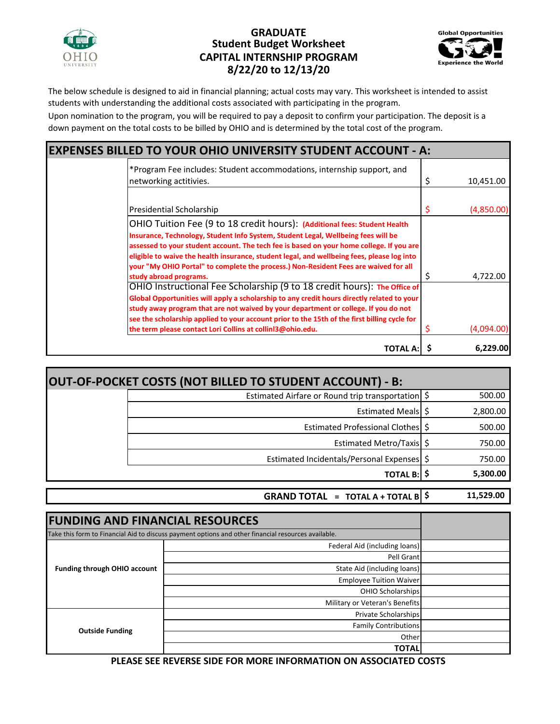

## **8/22/20 to 12/13/20 CAPITAL INTERNSHIP PROGRAM Student Budget Worksheet GRADUATE**



The below schedule is designed to aid in financial planning; actual costs may vary. This worksheet is intended to assist students with understanding the additional costs associated with participating in the program.

Upon nomination to the program, you will be required to pay a deposit to confirm your participation. The deposit is a down payment on the total costs to be billed by OHIO and is determined by the total cost of the program.

| <b>EXPENSES BILLED TO YOUR OHIO UNIVERSITY STUDENT ACCOUNT - A:</b>                                                                                                                                                                                                                                                                                                                                                                                                        |    |            |  |  |
|----------------------------------------------------------------------------------------------------------------------------------------------------------------------------------------------------------------------------------------------------------------------------------------------------------------------------------------------------------------------------------------------------------------------------------------------------------------------------|----|------------|--|--|
| *Program Fee includes: Student accommodations, internship support, and<br>networking actitivies.                                                                                                                                                                                                                                                                                                                                                                           | \$ | 10,451.00  |  |  |
| Presidential Scholarship                                                                                                                                                                                                                                                                                                                                                                                                                                                   | Ş  | (4,850.00) |  |  |
| OHIO Tuition Fee (9 to 18 credit hours): (Additional fees: Student Health<br>Insurance, Technology, Student Info System, Student Legal, Wellbeing fees will be<br>assessed to your student account. The tech fee is based on your home college. If you are<br>eligible to waive the health insurance, student legal, and wellbeing fees, please log into<br>your "My OHIO Portal" to complete the process.) Non-Resident Fees are waived for all<br>study abroad programs. | S  | 4,722.00   |  |  |
| OHIO Instructional Fee Scholarship (9 to 18 credit hours): The Office of<br>Global Opportunities will apply a scholarship to any credit hours directly related to your<br>study away program that are not waived by your department or college. If you do not<br>see the scholarship applied to your account prior to the 15th of the first billing cycle for<br>the term please contact Lori Collins at collin 3@ohio.edu.                                                |    | (4,094.00) |  |  |
| <b>TOTAL A:</b>                                                                                                                                                                                                                                                                                                                                                                                                                                                            |    | 6,229.00   |  |  |

| OUT-OF-POCKET COSTS (NOT BILLED TO STUDENT ACCOUNT) - B: |          |
|----------------------------------------------------------|----------|
| Estimated Airfare or Round trip transportation \$        | 500.00   |
| Estimated Meals   \$                                     | 2,800.00 |
| Estimated Professional Clothes \$                        | 500.00   |
| Estimated Metro/Taxis \$                                 | 750.00   |
| Estimated Incidentals/Personal Expenses \$               | 750.00   |
| <b>TOTAL B:   \$</b>                                     | 5,300.00 |
|                                                          |          |

 **\$ 11,529.00 GRAND TOTAL**  $=$  TOTAL A + TOTAL B  $\frac{1}{5}$ 

| <b>FUNDING AND FINANCIAL RESOURCES</b>                                                              |                                |  |
|-----------------------------------------------------------------------------------------------------|--------------------------------|--|
| Take this form to Financial Aid to discuss payment options and other financial resources available. |                                |  |
| <b>Funding through OHIO account</b>                                                                 | Federal Aid (including loans)  |  |
|                                                                                                     | Pell Grant                     |  |
|                                                                                                     | State Aid (including loans)    |  |
|                                                                                                     | <b>Employee Tuition Waiver</b> |  |
|                                                                                                     | <b>OHIO Scholarships</b>       |  |
|                                                                                                     | Military or Veteran's Benefits |  |
| <b>Outside Funding</b>                                                                              | <b>Private Scholarships</b>    |  |
|                                                                                                     | <b>Family Contributions</b>    |  |
|                                                                                                     | Other                          |  |
|                                                                                                     | <b>TOTAL</b>                   |  |

**PLEASE SEE REVERSE SIDE FOR MORE INFORMATION ON ASSOCIATED COSTS**